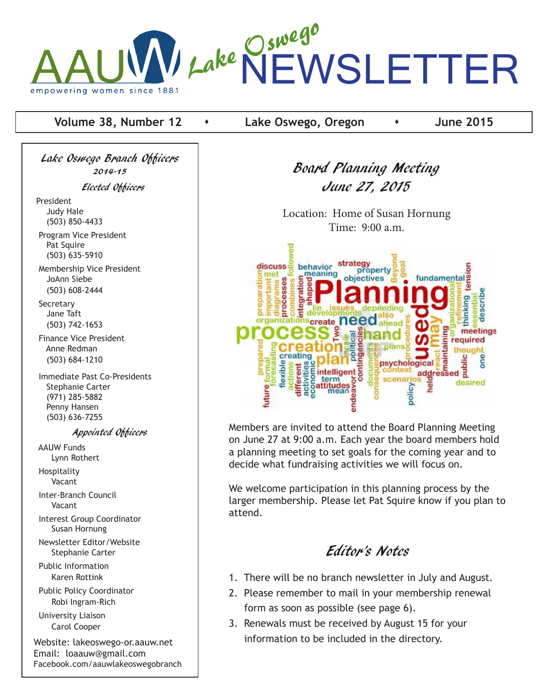

**Volume 38, Number 12**  $\rightarrow$  Lake Oswego, Oregon  $\rightarrow$  June 2015

Lake Oswego Branch Officers 2014-15 Elected Officers

President Judy Hale (503) 850-4433

 Program Vice President Pat Squire (503) 635-5910

 Membership Vice President JoAnn Siebe (503) 608-2444

**Secretary**  Jane Taft (503) 742-1653

 Finance Vice President Anne Redman (503) 684-1210

 Immediate Past Co-Presidents Stephanie Carter (971) 285-5882 Penny Hansen (503) 636-7255

#### Appointed Officers

 AAUW Funds Lynn Rothert Hospitality

Vacant

 Inter-Branch Council Vacant

 Interest Group Coordinator Susan Hornung

 Newsletter Editor/Website Stephanie Carter

 Public Information Karen Rottink

 Public Policy Coordinator Robi Ingram-Rich

 University Liaison Carol Cooper

Website: lakeoswego-or.aauw.net Email: loaauw@gmail.com Facebook.com/aauwlakeoswegobranch Board Planning Meeting June 27, 2015

Location: Home of Susan Hornung Time: 9:00 a.m.



Members are invited to attend the Board Planning Meeting on June 27 at 9:00 a.m. Each year the board members hold a planning meeting to set goals for the coming year and to decide what fundraising activities we will focus on.

We welcome participation in this planning process by the larger membership. Please let Pat Squire know if you plan to attend.

# Editor's Notes

- 1. There will be no branch newsletter in July and August.
- 2. Please remember to mail in your membership renewal form as soon as possible (see page 6).
- 3. Renewals must be received by August 15 for your information to be included in the directory.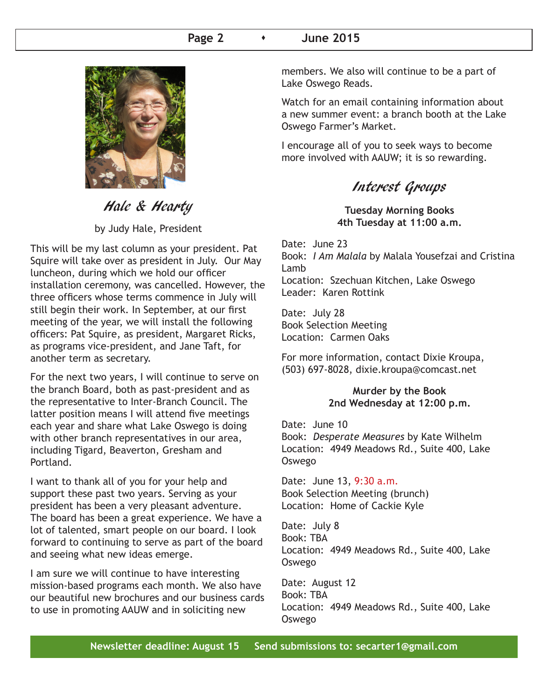### **Page 2** s **June 2015**



# Hale & Hearty

by Judy Hale, President

This will be my last column as your president. Pat Squire will take over as president in July. Our May luncheon, during which we hold our officer installation ceremony, was cancelled. However, the three officers whose terms commence in July will still begin their work. In September, at our first meeting of the year, we will install the following officers: Pat Squire, as president, Margaret Ricks, as programs vice-president, and Jane Taft, for another term as secretary.

For the next two years, I will continue to serve on the branch Board, both as past-president and as the representative to Inter-Branch Council. The latter position means I will attend five meetings each year and share what Lake Oswego is doing with other branch representatives in our area, including Tigard, Beaverton, Gresham and Portland.

I want to thank all of you for your help and support these past two years. Serving as your president has been a very pleasant adventure. The board has been a great experience. We have a lot of talented, smart people on our board. I look forward to continuing to serve as part of the board and seeing what new ideas emerge.

I am sure we will continue to have interesting mission-based programs each month. We also have our beautiful new brochures and our business cards to use in promoting AAUW and in soliciting new

members. We also will continue to be a part of Lake Oswego Reads.

Watch for an email containing information about a new summer event: a branch booth at the Lake Oswego Farmer's Market.

I encourage all of you to seek ways to become more involved with AAUW; it is so rewarding.

Interest Groups

**Tuesday Morning Books 4th Tuesday at 11:00 a.m.**

Date: June 23 Book: *I Am Malala* by Malala Yousefzai and Cristina Lamb Location: Szechuan Kitchen, Lake Oswego Leader: Karen Rottink

Date: July 28 Book Selection Meeting Location: Carmen Oaks

For more information, contact Dixie Kroupa, (503) 697-8028, dixie.kroupa@comcast.net

### **Murder by the Book 2nd Wednesday at 12:00 p.m.**

Date: June 10 Book: *Desperate Measures* by Kate Wilhelm Location: 4949 Meadows Rd., Suite 400, Lake Oswego

Date: June 13, 9:30 a.m. Book Selection Meeting (brunch) Location: Home of Cackie Kyle

Date: July 8 Book: TBA Location: 4949 Meadows Rd., Suite 400, Lake Oswego

Date: August 12 Book: TBA Location: 4949 Meadows Rd., Suite 400, Lake Oswego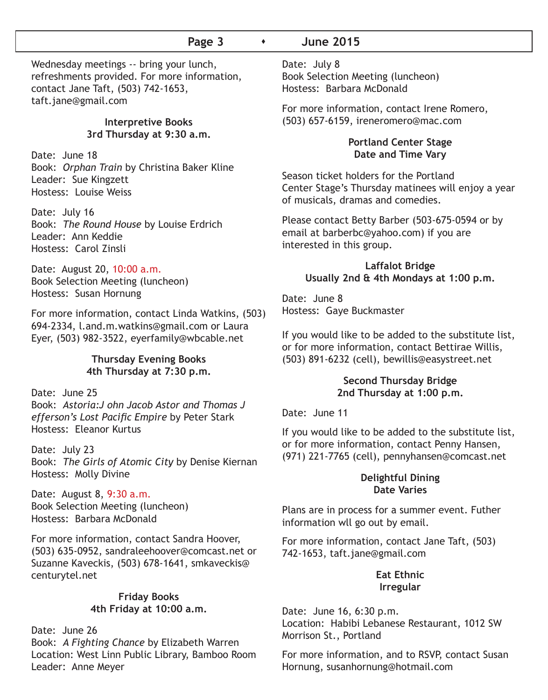## **Page 3**  $\longrightarrow$  June 2015

Wednesday meetings -- bring your lunch, refreshments provided. For more information, contact Jane Taft, (503) 742-1653, taft.jane@gmail.com

#### **Interpretive Books 3rd Thursday at 9:30 a.m.**

Date: June 18 Book: *Orphan Train* by Christina Baker Kline Leader: Sue Kingzett Hostess: Louise Weiss

Date: July 16 Book: *The Round House* by Louise Erdrich Leader: Ann Keddie Hostess: Carol Zinsli

Date: August 20, 10:00 a.m. Book Selection Meeting (luncheon) Hostess: Susan Hornung

For more information, contact Linda Watkins, (503) 694-2334, l.and.m.watkins@gmail.com or Laura Eyer, (503) 982-3522, eyerfamily@wbcable.net

#### **Thursday Evening Books 4th Thursday at 7:30 p.m.**

Date: June 25 Book: *Astoria:J ohn Jacob Astor and Thomas J efferson's Lost Pacific Empire* by Peter Stark Hostess: Eleanor Kurtus

Date: July 23 Book: *The Girls of Atomic City* by Denise Kiernan Hostess: Molly Divine

Date: August 8, 9:30 a.m. Book Selection Meeting (luncheon) Hostess: Barbara McDonald

For more information, contact Sandra Hoover, (503) 635-0952, sandraleehoover@comcast.net or Suzanne Kaveckis, (503) 678-1641, smkaveckis@ centurytel.net

#### **Friday Books 4th Friday at 10:00 a.m.**

Date: June 26 Book: *A Fighting Chance* by Elizabeth Warren Location: West Linn Public Library, Bamboo Room Leader: Anne Meyer

Date: July 8 Book Selection Meeting (luncheon) Hostess: Barbara McDonald

For more information, contact Irene Romero, (503) 657-6159, ireneromero@mac.com

#### **Portland Center Stage Date and Time Vary**

Season ticket holders for the Portland Center Stage's Thursday matinees will enjoy a year of musicals, dramas and comedies.

Please contact Betty Barber (503-675-0594 or by email at barberbc@yahoo.com) if you are interested in this group.

#### **Laffalot Bridge Usually 2nd & 4th Mondays at 1:00 p.m.**

Date: June 8 Hostess: Gaye Buckmaster

If you would like to be added to the substitute list, or for more information, contact Bettirae Willis, (503) 891-6232 (cell), bewillis@easystreet.net

#### **Second Thursday Bridge 2nd Thursday at 1:00 p.m.**

Date: June 11

If you would like to be added to the substitute list, or for more information, contact Penny Hansen, (971) 221-7765 (cell), pennyhansen@comcast.net

#### **Delightful Dining Date Varies**

Plans are in process for a summer event. Futher information wll go out by email.

For more information, contact Jane Taft, (503) 742-1653, taft.jane@gmail.com

### **Eat Ethnic Irregular**

Date: June 16, 6:30 p.m. Location: Habibi Lebanese Restaurant, 1012 SW Morrison St., Portland

For more information, and to RSVP, contact Susan Hornung, susanhornung@hotmail.com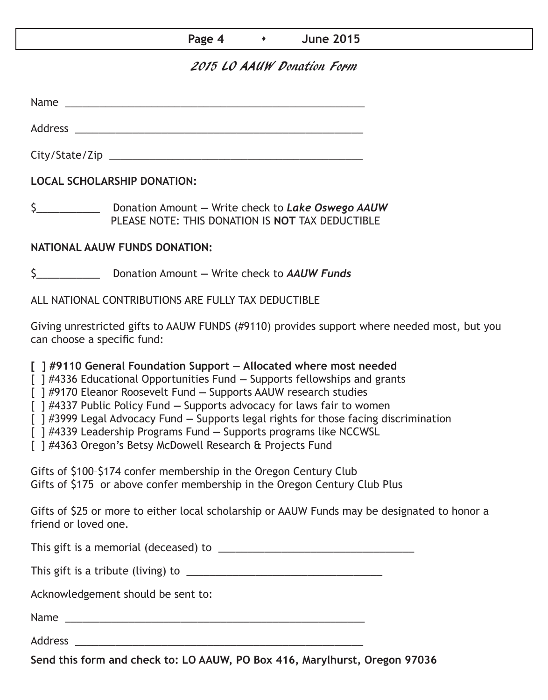| Page 4 | <b>June 2015</b> |
|--------|------------------|
|--------|------------------|

# 2015 LO AAUW Donation Form

Name Address \_\_\_\_\_\_\_\_\_\_\_\_\_\_\_\_\_\_\_\_\_\_\_\_\_\_\_\_\_\_\_\_\_\_\_\_\_\_\_\_\_\_\_\_\_\_\_\_\_\_ City/State/Zip

**LOCAL SCHOLARSHIP DONATION:**

\$\_\_\_\_\_\_\_\_\_\_\_ Donation Amount **—** Write check to *Lake Oswego AAUW* PLEASE NOTE: THIS DONATION IS **NOT** TAX DEDUCTIBLE

## **NATIONAL AAUW FUNDS DONATION:**

\$\_\_\_\_\_\_\_\_\_\_\_ Donation Amount **—** Write check to *AAUW Funds*

ALL NATIONAL CONTRIBUTIONS ARE FULLY TAX DEDUCTIBLE

Giving unrestricted gifts to AAUW FUNDS (#9110) provides support where needed most, but you can choose a specific fund:

**[ ] #9110 General Foundation Support — Allocated where most needed** 

[ ] #4336 Educational Opportunities Fund **—** Supports fellowships and grants

[ ] #9170 Eleanor Roosevelt Fund **—** Supports AAUW research studies

[ ] #4337 Public Policy Fund **—** Supports advocacy for laws fair to women

[ ] #3999 Legal Advocacy Fund **—** Supports legal rights for those facing discrimination

[ ] #4339 Leadership Programs Fund **—** Supports programs like NCCWSL

[ ] #4363 Oregon's Betsy McDowell Research & Projects Fund

Gifts of \$100–\$174 confer membership in the Oregon Century Club Gifts of \$175 or above confer membership in the Oregon Century Club Plus

Gifts of \$25 or more to either local scholarship or AAUW Funds may be designated to honor a friend or loved one.

This gift is a memorial (deceased) to \_\_\_\_\_\_\_\_\_\_\_\_\_\_\_\_\_\_\_\_\_\_\_\_\_\_\_\_\_\_\_\_\_\_

This gift is a tribute (living) to \_\_\_\_\_\_\_\_\_\_\_\_\_\_\_\_\_\_\_\_\_\_\_\_\_\_\_\_\_\_\_\_\_\_

Acknowledgement should be sent to:

Name \_\_\_\_\_\_\_\_\_\_\_\_\_\_\_\_\_\_\_\_\_\_\_\_\_\_\_\_\_\_\_\_\_\_\_\_\_\_\_\_\_\_\_\_\_\_\_\_\_\_\_\_

Address  $\overline{A}$ 

**Send this form and check to: LO AAUW, PO Box 416, Marylhurst, Oregon 97036**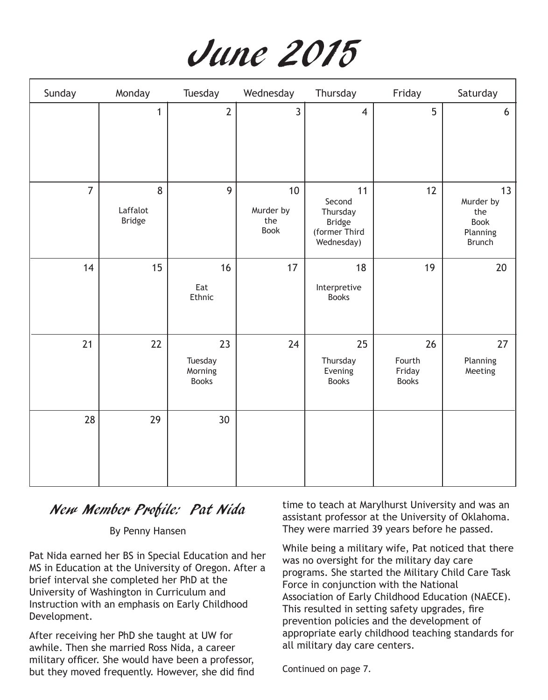

| Sunday         | Monday                         | Tuesday                                  | Wednesday                      | Thursday                                                                 | Friday                                 | Saturday                                                    |
|----------------|--------------------------------|------------------------------------------|--------------------------------|--------------------------------------------------------------------------|----------------------------------------|-------------------------------------------------------------|
|                | $\mathbf{1}$                   | $\overline{2}$                           | $\overline{3}$                 | $\overline{4}$                                                           | 5                                      | 6                                                           |
| $\overline{7}$ | 8<br>Laffalot<br><b>Bridge</b> | 9                                        | 10<br>Murder by<br>the<br>Book | 11<br>Second<br>Thursday<br><b>Bridge</b><br>(former Third<br>Wednesday) | 12                                     | 13<br>Murder by<br>the<br>Book<br>Planning<br><b>Brunch</b> |
| 14             | 15                             | 16<br>Eat<br>Ethnic                      | 17                             | 18<br>Interpretive<br><b>Books</b>                                       | 19                                     | 20                                                          |
| 21             | 22                             | 23<br>Tuesday<br>Morning<br><b>Books</b> | 24                             | 25<br>Thursday<br>Evening<br><b>Books</b>                                | 26<br>Fourth<br>Friday<br><b>Books</b> | 27<br>Planning<br>Meeting                                   |
| 28             | 29                             | 30                                       |                                |                                                                          |                                        |                                                             |

# New Member Profile: Pat Nida

#### By Penny Hansen

Pat Nida earned her BS in Special Education and her MS in Education at the University of Oregon. After a brief interval she completed her PhD at the University of Washington in Curriculum and Instruction with an emphasis on Early Childhood Development.

After receiving her PhD she taught at UW for awhile. Then she married Ross Nida, a career military officer. She would have been a professor, but they moved frequently. However, she did find time to teach at Marylhurst University and was an assistant professor at the University of Oklahoma. They were married 39 years before he passed.

While being a military wife, Pat noticed that there was no oversight for the military day care programs. She started the Military Child Care Task Force in conjunction with the National Association of Early Childhood Education (NAECE). This resulted in setting safety upgrades, fire prevention policies and the development of appropriate early childhood teaching standards for all military day care centers.

Continued on page 7.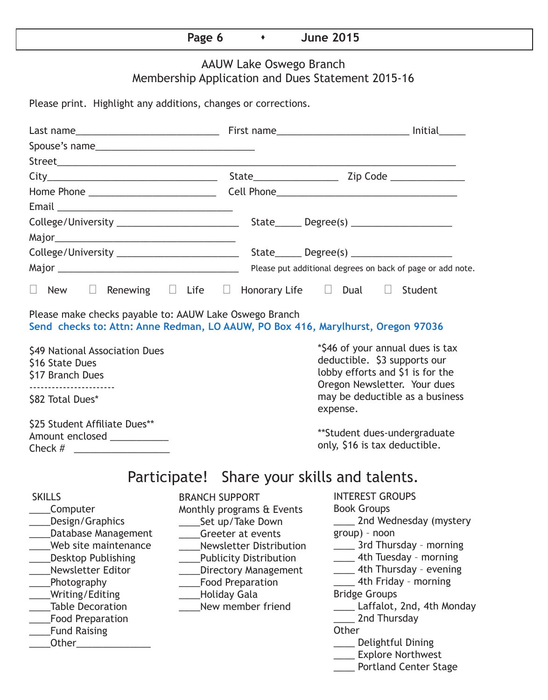|  | )<br>2222<br><b>780A</b><br>. . |  | <b>OO4E</b><br>une<br>June 2015 |  |
|--|---------------------------------|--|---------------------------------|--|
|--|---------------------------------|--|---------------------------------|--|

# AAUW Lake Oswego Branch Membership Application and Dues Statement 2015-16

Please print. Highlight any additions, changes or corrections.

| $\Box$ New $\Box$ Renewing $\Box$ Life $\Box$ Honorary Life $\Box$ Dual $\Box$ Student                                                                                                                                                                              |                                                                                                                                                                                                                                          |                                                                                                                                                                                                                                                                                                                                                                              |
|---------------------------------------------------------------------------------------------------------------------------------------------------------------------------------------------------------------------------------------------------------------------|------------------------------------------------------------------------------------------------------------------------------------------------------------------------------------------------------------------------------------------|------------------------------------------------------------------------------------------------------------------------------------------------------------------------------------------------------------------------------------------------------------------------------------------------------------------------------------------------------------------------------|
| Please make checks payable to: AAUW Lake Oswego Branch<br>Send checks to: Attn: Anne Redman, LO AAUW, PO Box 416, Marylhurst, Oregon 97036                                                                                                                          |                                                                                                                                                                                                                                          |                                                                                                                                                                                                                                                                                                                                                                              |
| \$49 National Association Dues<br>\$16 State Dues<br>\$17 Branch Dues<br>-----------------------                                                                                                                                                                    |                                                                                                                                                                                                                                          | *\$46 of your annual dues is tax<br>deductible. \$3 supports our<br>lobby efforts and \$1 is for the<br>Oregon Newsletter. Your dues                                                                                                                                                                                                                                         |
| \$82 Total Dues*                                                                                                                                                                                                                                                    |                                                                                                                                                                                                                                          | may be deductible as a business<br>expense.                                                                                                                                                                                                                                                                                                                                  |
| \$25 Student Affiliate Dues**<br>Amount enclosed ___________                                                                                                                                                                                                        |                                                                                                                                                                                                                                          | **Student dues-undergraduate<br>only, \$16 is tax deductible.                                                                                                                                                                                                                                                                                                                |
|                                                                                                                                                                                                                                                                     |                                                                                                                                                                                                                                          | Participate! Share your skills and talents.                                                                                                                                                                                                                                                                                                                                  |
| <b>SKILLS</b><br>Computer<br>Design/Graphics<br>Database Management<br>Web site maintenance<br><b>Desktop Publishing</b><br><b>Newsletter Editor</b><br>Photography<br>Writing/Editing<br><b>Table Decoration</b><br><b>Food Preparation</b><br><b>Fund Raising</b> | <b>BRANCH SUPPORT</b><br>Monthly programs & Events<br>Set up/Take Down<br>Greeter at events<br>Newsletter Distribution<br>___Publicity Distribution<br>Directory Management<br>_Food Preparation<br>___Holiday Gala<br>New member friend | <b>INTEREST GROUPS</b><br><b>Book Groups</b><br>2nd Wednesday (mystery<br>group) - noon<br>____ 3rd Thursday - morning<br>____ 4th Tuesday - morning<br>____ 4th Thursday - evening<br>4th Friday - morning<br><b>Bridge Groups</b><br>Laffalot, 2nd, 4th Monday<br>2nd Thursday<br>Other<br>___ Delightful Dining<br>____ Explore Northwest<br><b>Portland Center Stage</b> |